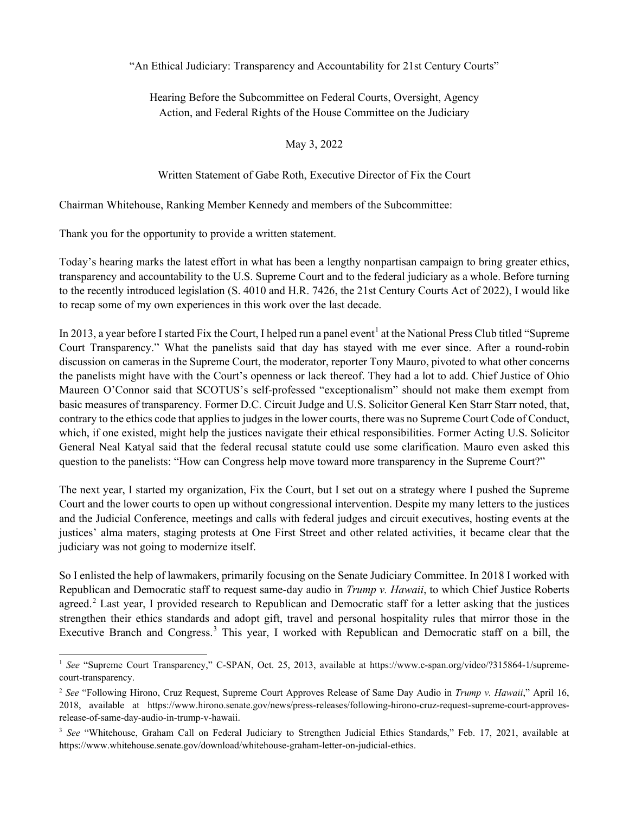"An Ethical Judiciary: Transparency and Accountability for 21st Century Courts"

Hearing Before the Subcommittee on Federal Courts, Oversight, Agency Action, and Federal Rights of the House Committee on the Judiciary

May 3, 2022

Written Statement of Gabe Roth, Executive Director of Fix the Court

Chairman Whitehouse, Ranking Member Kennedy and members of the Subcommittee:

Thank you for the opportunity to provide a written statement.

 $\overline{a}$ 

Today's hearing marks the latest effort in what has been a lengthy nonpartisan campaign to bring greater ethics, transparency and accountability to the U.S. Supreme Court and to the federal judiciary as a whole. Before turning to the recently introduced legislation (S. 4010 and H.R. 7426, the 21st Century Courts Act of 2022), I would like to recap some of my own experiences in this work over the last decade.

In 20[1](#page-0-0)3, a year before I started Fix the Court, I helped run a panel event<sup>1</sup> at the National Press Club titled "Supreme" Court Transparency." What the panelists said that day has stayed with me ever since. After a round-robin discussion on cameras in the Supreme Court, the moderator, reporter Tony Mauro, pivoted to what other concerns the panelists might have with the Court's openness or lack thereof. They had a lot to add. Chief Justice of Ohio Maureen O'Connor said that SCOTUS's self-professed "exceptionalism" should not make them exempt from basic measures of transparency. Former D.C. Circuit Judge and U.S. Solicitor General Ken Starr Starr noted, that, contrary to the ethics code that applies to judges in the lower courts, there was no Supreme Court Code of Conduct, which, if one existed, might help the justices navigate their ethical responsibilities. Former Acting U.S. Solicitor General Neal Katyal said that the federal recusal statute could use some clarification. Mauro even asked this question to the panelists: "How can Congress help move toward more transparency in the Supreme Court?"

The next year, I started my organization, Fix the Court, but I set out on a strategy where I pushed the Supreme Court and the lower courts to open up without congressional intervention. Despite my many letters to the justices and the Judicial Conference, meetings and calls with federal judges and circuit executives, hosting events at the justices' alma maters, staging protests at One First Street and other related activities, it became clear that the judiciary was not going to modernize itself.

So I enlisted the help of lawmakers, primarily focusing on the Senate Judiciary Committee. In 2018 I worked with Republican and Democratic staff to request same-day audio in *Trump v. Hawaii*, to which Chief Justice Roberts agreed.<sup>[2](#page-0-1)</sup> Last year, I provided research to Republican and Democratic staff for a letter asking that the justices strengthen their ethics standards and adopt gift, travel and personal hospitality rules that mirror those in the Executive Branch and Congress.<sup>[3](#page-0-2)</sup> This year, I worked with Republican and Democratic staff on a bill, the

<span id="page-0-0"></span><sup>&</sup>lt;sup>1</sup> See "Supreme Court Transparency," C-SPAN, Oct. 25, 2013, available at https://www.c-span.org/video/?315864-1/supremecourt-transparency.

<span id="page-0-1"></span><sup>2</sup> *See* "Following Hirono, Cruz Request, Supreme Court Approves Release of Same Day Audio in *Trump v. Hawaii*," April 16, 2018, available at https://www.hirono.senate.gov/news/press-releases/following-hirono-cruz-request-supreme-court-approvesrelease-of-same-day-audio-in-trump-v-hawaii.

<span id="page-0-2"></span><sup>&</sup>lt;sup>3</sup> See "Whitehouse, Graham Call on Federal Judiciary to Strengthen Judicial Ethics Standards," Feb. 17, 2021, available at https://www.whitehouse.senate.gov/download/whitehouse-graham-letter-on-judicial-ethics.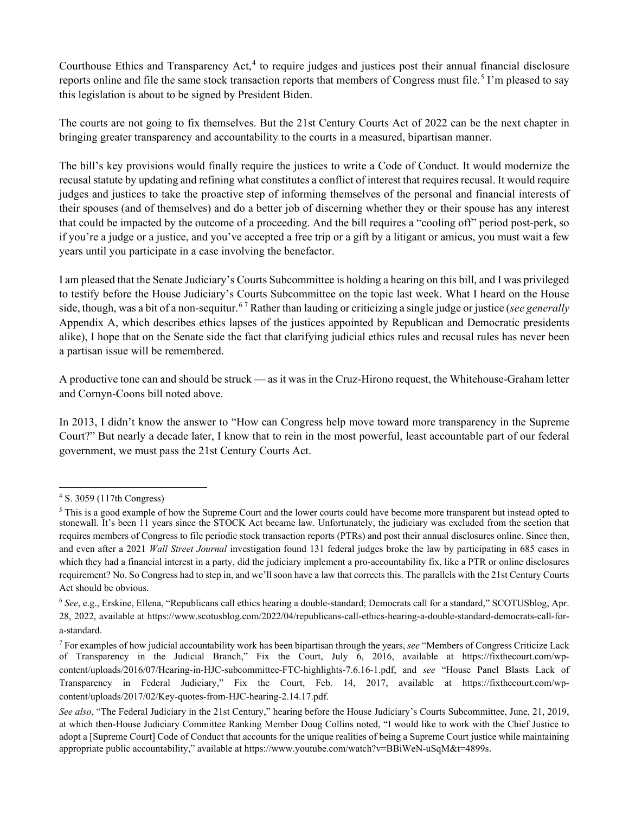Courthouse Ethics and Transparency Act, $4$  to require judges and justices post their annual financial disclosure reports online and file the same stock transaction reports that members of Congress must file.<sup>[5](#page-1-1)</sup> I'm pleased to say this legislation is about to be signed by President Biden.

The courts are not going to fix themselves. But the 21st Century Courts Act of 2022 can be the next chapter in bringing greater transparency and accountability to the courts in a measured, bipartisan manner.

The bill's key provisions would finally require the justices to write a Code of Conduct. It would modernize the recusal statute by updating and refining what constitutes a conflict of interest that requires recusal. It would require judges and justices to take the proactive step of informing themselves of the personal and financial interests of their spouses (and of themselves) and do a better job of discerning whether they or their spouse has any interest that could be impacted by the outcome of a proceeding. And the bill requires a "cooling off" period post-perk, so if you're a judge or a justice, and you've accepted a free trip or a gift by a litigant or amicus, you must wait a few years until you participate in a case involving the benefactor.

I am pleased that the Senate Judiciary's Courts Subcommittee is holding a hearing on this bill, and I was privileged to testify before the House Judiciary's Courts Subcommittee on the topic last week. What I heard on the House side, though, was a bit of a non-sequitur. [6](#page-1-2) [7](#page-1-3) Rather than lauding or criticizing a single judge or justice (*see generally* Appendix A, which describes ethics lapses of the justices appointed by Republican and Democratic presidents alike), I hope that on the Senate side the fact that clarifying judicial ethics rules and recusal rules has never been a partisan issue will be remembered.

A productive tone can and should be struck — as it was in the Cruz-Hirono request, the Whitehouse-Graham letter and Cornyn-Coons bill noted above.

In 2013, I didn't know the answer to "How can Congress help move toward more transparency in the Supreme Court?" But nearly a decade later, I know that to rein in the most powerful, least accountable part of our federal government, we must pass the 21st Century Courts Act.

<span id="page-1-0"></span><sup>4</sup> S. 3059 (117th Congress)

<span id="page-1-1"></span><sup>&</sup>lt;sup>5</sup> This is a good example of how the Supreme Court and the lower courts could have become more transparent but instead opted to stonewall. It's been 11 years since the STOCK Act became law. Unfortunately, the judiciary was excluded from the section that requires members of Congress to file periodic stock transaction reports (PTRs) and post their annual disclosures online. Since then, and even after a 2021 *Wall Street Journal* investigation found 131 federal judges broke the law by participating in 685 cases in which they had a financial interest in a party, did the judiciary implement a pro-accountability fix, like a PTR or online disclosures requirement? No. So Congress had to step in, and we'll soon have a law that corrects this. The parallels with the 21st Century Courts Act should be obvious.

<span id="page-1-2"></span><sup>6</sup> *See*, e.g., Erskine, Ellena, "Republicans call ethics hearing a double-standard; Democrats call for a standard," SCOTUSblog, Apr. 28, 2022, available at https://www.scotusblog.com/2022/04/republicans-call-ethics-hearing-a-double-standard-democrats-call-fora-standard.

<span id="page-1-3"></span><sup>7</sup> For examples of how judicial accountability work has been bipartisan through the years, *see* "Members of Congress Criticize Lack of Transparency in the Judicial Branch," Fix the Court, July 6, 2016, available at https://fixthecourt.com/wpcontent/uploads/2016/07/Hearing-in-HJC-subcommittee-FTC-highlights-7.6.16-1.pdf, and *see* "House Panel Blasts Lack of Transparency in Federal Judiciary," Fix the Court, Feb. 14, 2017, available at https://fixthecourt.com/wpcontent/uploads/2017/02/Key-quotes-from-HJC-hearing-2.14.17.pdf.

*See also*, "The Federal Judiciary in the 21st Century," hearing before the House Judiciary's Courts Subcommittee, June, 21, 2019, at which then-House Judiciary Committee Ranking Member Doug Collins noted, "I would like to work with the Chief Justice to adopt a [Supreme Court] Code of Conduct that accounts for the unique realities of being a Supreme Court justice while maintaining appropriate public accountability," available at https://www.youtube.com/watch?v=BBiWeN-uSqM&t=4899s.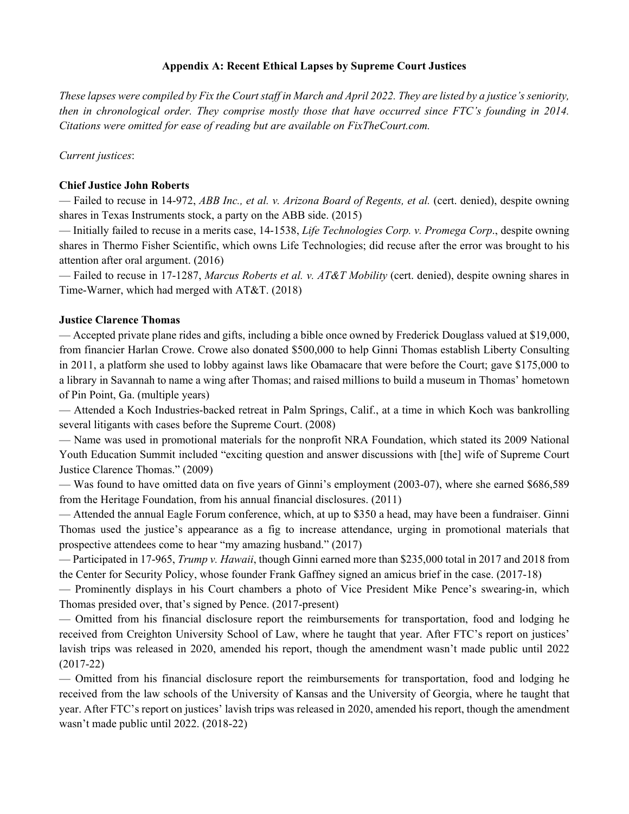### **Appendix A: Recent Ethical Lapses by Supreme Court Justices**

*These lapses were compiled by Fix the Court staff in March and April 2022. They are listed by a justice's seniority, then in chronological order. They comprise mostly those that have occurred since FTC's founding in 2014. Citations were omitted for ease of reading but are available on FixTheCourt.com.*

*Current justices*:

#### **Chief Justice John Roberts**

— Failed to recuse in 14-972, *ABB Inc., et al. v. Arizona Board of Regents, et al.* (cert. denied), despite owning shares in Texas Instruments stock, a party on the ABB side. (2015)

— Initially failed to recuse in a merits case, 14-1538, *Life Technologies Corp. v. Promega Corp*., despite owning shares in Thermo Fisher Scientific, which owns Life Technologies; did recuse after the error was brought to his attention after oral argument. (2016)

— Failed to recuse in 17-1287, *Marcus Roberts et al. v. AT&T Mobility* (cert. denied), despite owning shares in Time-Warner, which had merged with AT&T. (2018)

#### **Justice Clarence Thomas**

— Accepted private plane rides and gifts, including a bible once owned by Frederick Douglass valued at \$19,000, from financier Harlan Crowe. Crowe also donated \$500,000 to help Ginni Thomas establish Liberty Consulting in 2011, a platform she used to lobby against laws like Obamacare that were before the Court; gave \$175,000 to a library in Savannah to name a wing after Thomas; and raised millions to build a museum in Thomas' hometown of Pin Point, Ga. (multiple years)

— Attended a Koch Industries-backed retreat in Palm Springs, Calif., at a time in which Koch was bankrolling several litigants with cases before the Supreme Court. (2008)

— Name was used in promotional materials for the nonprofit NRA Foundation, which stated its 2009 National Youth Education Summit included "exciting question and answer discussions with [the] wife of Supreme Court Justice Clarence Thomas." (2009)

— Was found to have omitted data on five years of Ginni's employment (2003-07), where she earned \$686,589 from the Heritage Foundation, from his annual financial disclosures. (2011)

— Attended the annual Eagle Forum conference, which, at up to \$350 a head, may have been a fundraiser. Ginni Thomas used the justice's appearance as a fig to increase attendance, urging in promotional materials that prospective attendees come to hear "my amazing husband." (2017)

— Participated in 17-965, *Trump v. Hawaii*, though Ginni earned more than \$235,000 total in 2017 and 2018 from the Center for Security Policy, whose founder Frank Gaffney signed an amicus brief in the case. (2017-18)

— Prominently displays in his Court chambers a photo of Vice President Mike Pence's swearing-in, which Thomas presided over, that's signed by Pence. (2017-present)

— Omitted from his financial disclosure report the reimbursements for transportation, food and lodging he received from Creighton University School of Law, where he taught that year. After FTC's report on justices' lavish trips was released in 2020, amended his report, though the amendment wasn't made public until 2022 (2017-22)

— Omitted from his financial disclosure report the reimbursements for transportation, food and lodging he received from the law schools of the University of Kansas and the University of Georgia, where he taught that year. After FTC's report on justices' lavish trips was released in 2020, amended his report, though the amendment wasn't made public until 2022. (2018-22)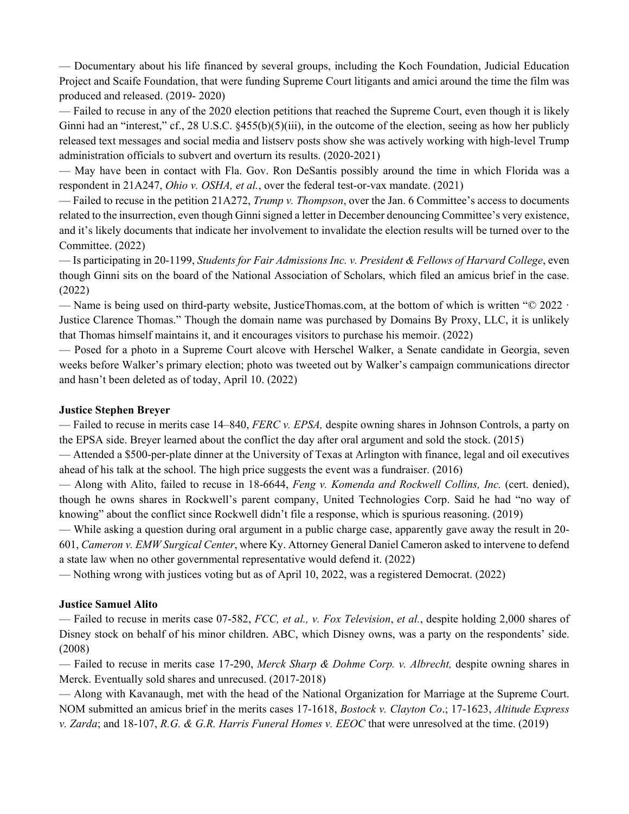— Documentary about his life financed by several groups, including the Koch Foundation, Judicial Education Project and Scaife Foundation, that were funding Supreme Court litigants and amici around the time the film was produced and released. (2019- 2020)

— Failed to recuse in any of the 2020 election petitions that reached the Supreme Court, even though it is likely Ginni had an "interest," cf., 28 U.S.C.  $\frac{455(b)}{5)}$  iii), in the outcome of the election, seeing as how her publicly released text messages and social media and listserv posts show she was actively working with high-level Trump administration officials to subvert and overturn its results. (2020-2021)

— May have been in contact with Fla. Gov. Ron DeSantis possibly around the time in which Florida was a respondent in 21A247, *Ohio v. OSHA, et al.*, over the federal test-or-vax mandate. (2021)

— Failed to recuse in the petition 21A272, *Trump v. Thompson*, over the Jan. 6 Committee's access to documents related to the insurrection, even though Ginni signed a letter in December denouncing Committee's very existence, and it's likely documents that indicate her involvement to invalidate the election results will be turned over to the Committee. (2022)

— Is participating in 20-1199, *Students for Fair Admissions Inc. v. President & Fellows of Harvard College*, even though Ginni sits on the board of the National Association of Scholars, which filed an amicus brief in the case. (2022)

— Name is being used on third-party website, JusticeThomas.com, at the bottom of which is written "© 2022 · Justice Clarence Thomas." Though the domain name was purchased by Domains By Proxy, LLC, it is unlikely that Thomas himself maintains it, and it encourages visitors to purchase his memoir. (2022)

— Posed for a photo in a Supreme Court alcove with Herschel Walker, a Senate candidate in Georgia, seven weeks before Walker's primary election; photo was tweeted out by Walker's campaign communications director and hasn't been deleted as of today, April 10. (2022)

### **Justice Stephen Breyer**

— Failed to recuse in merits case 14–840, *FERC v. EPSA,* despite owning shares in Johnson Controls, a party on the EPSA side. Breyer learned about the conflict the day after oral argument and sold the stock. (2015)

— Attended a \$500-per-plate dinner at the University of Texas at Arlington with finance, legal and oil executives ahead of his talk at the school. The high price suggests the event was a fundraiser. (2016)

— Along with Alito, failed to recuse in 18-6644, *Feng v. Komenda and Rockwell Collins, Inc.* (cert. denied), though he owns shares in Rockwell's parent company, United Technologies Corp. Said he had "no way of knowing" about the conflict since Rockwell didn't file a response, which is spurious reasoning. (2019)

— While asking a question during oral argument in a public charge case, apparently gave away the result in 20- 601, *Cameron v. EMW Surgical Center*, where Ky. Attorney General Daniel Cameron asked to intervene to defend a state law when no other governmental representative would defend it. (2022)

— Nothing wrong with justices voting but as of April 10, 2022, was a registered Democrat. (2022)

### **Justice Samuel Alito**

— Failed to recuse in merits case 07-582, *FCC, et al., v. Fox Television*, *et al.*, despite holding 2,000 shares of Disney stock on behalf of his minor children. ABC, which Disney owns, was a party on the respondents' side. (2008)

— Failed to recuse in merits case 17-290, *Merck Sharp & Dohme Corp. v. Albrecht,* despite owning shares in Merck. Eventually sold shares and unrecused. (2017-2018)

— Along with Kavanaugh, met with the head of the National Organization for Marriage at the Supreme Court. NOM submitted an amicus brief in the merits cases 17-1618, *Bostock v. Clayton Co*.; 17-1623, *Altitude Express v. Zarda*; and 18-107, *R.G. & G.R. Harris Funeral Homes v. EEOC* that were unresolved at the time. (2019)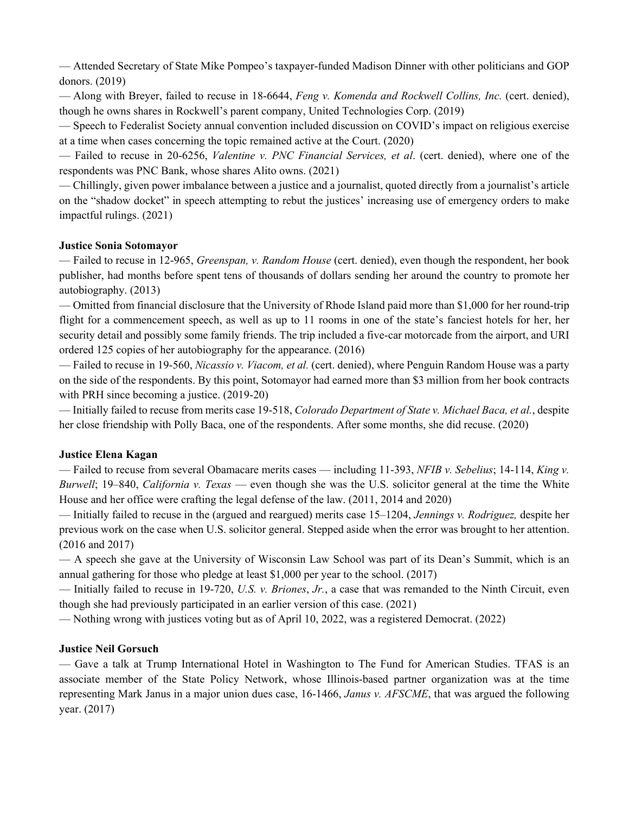— Attended Secretary of State Mike Pompeo's taxpayer-funded Madison Dinner with other politicians and GOP donors. (2019)

— Along with Breyer, failed to recuse in 18-6644, *Feng v. Komenda and Rockwell Collins, Inc.* (cert. denied), though he owns shares in Rockwell's parent company, United Technologies Corp. (2019)

— Speech to Federalist Society annual convention included discussion on COVID's impact on religious exercise at a time when cases concerning the topic remained active at the Court. (2020)

— Failed to recuse in 20-6256, *Valentine v. PNC Financial Services, et al*. (cert. denied), where one of the respondents was PNC Bank, whose shares Alito owns. (2021)

— Chillingly, given power imbalance between a justice and a journalist, quoted directly from a journalist's article on the "shadow docket" in speech attempting to rebut the justices' increasing use of emergency orders to make impactful rulings. (2021)

### **Justice Sonia Sotomayor**

— Failed to recuse in 12-965, *Greenspan, v. Random House* (cert. denied), even though the respondent, her book publisher, had months before spent tens of thousands of dollars sending her around the country to promote her autobiography. (2013)

— Omitted from financial disclosure that the University of Rhode Island paid more than \$1,000 for her round-trip flight for a commencement speech, as well as up to 11 rooms in one of the state's fanciest hotels for her, her security detail and possibly some family friends. The trip included a five-car motorcade from the airport, and URI ordered 125 copies of her autobiography for the appearance. (2016)

— Failed to recuse in 19-560, *Nicassio v. Viacom, et al.* (cert. denied), where Penguin Random House was a party on the side of the respondents. By this point, Sotomayor had earned more than \$3 million from her book contracts with PRH since becoming a justice. (2019-20)

— Initially failed to recuse from merits case 19-518, *Colorado Department of State v. Michael Baca, et al.*, despite her close friendship with Polly Baca, one of the respondents. After some months, she did recuse. (2020)

# **Justice Elena Kagan**

— Failed to recuse from several Obamacare merits cases — including 11-393, *NFIB v. Sebelius*; 14-114, *King v. Burwell*; 19–840, *California v. Texas* — even though she was the U.S. solicitor general at the time the White House and her office were crafting the legal defense of the law. (2011, 2014 and 2020)

— Initially failed to recuse in the (argued and reargued) merits case 15–1204, *Jennings v. Rodriguez,* despite her previous work on the case when U.S. solicitor general. Stepped aside when the error was brought to her attention. (2016 and 2017)

— A speech she gave at the University of Wisconsin Law School was part of its Dean's Summit, which is an annual gathering for those who pledge at least \$1,000 per year to the school. (2017)

— Initially failed to recuse in 19-720, *U.S. v. Briones*, *Jr.*, a case that was remanded to the Ninth Circuit, even though she had previously participated in an earlier version of this case. (2021)

— Nothing wrong with justices voting but as of April 10, 2022, was a registered Democrat. (2022)

### **Justice Neil Gorsuch**

— Gave a talk at Trump International Hotel in Washington to The Fund for American Studies. TFAS is an associate member of the State Policy Network, whose Illinois-based partner organization was at the time representing Mark Janus in a major union dues case, 16-1466, *Janus v. AFSCME*, that was argued the following year. (2017)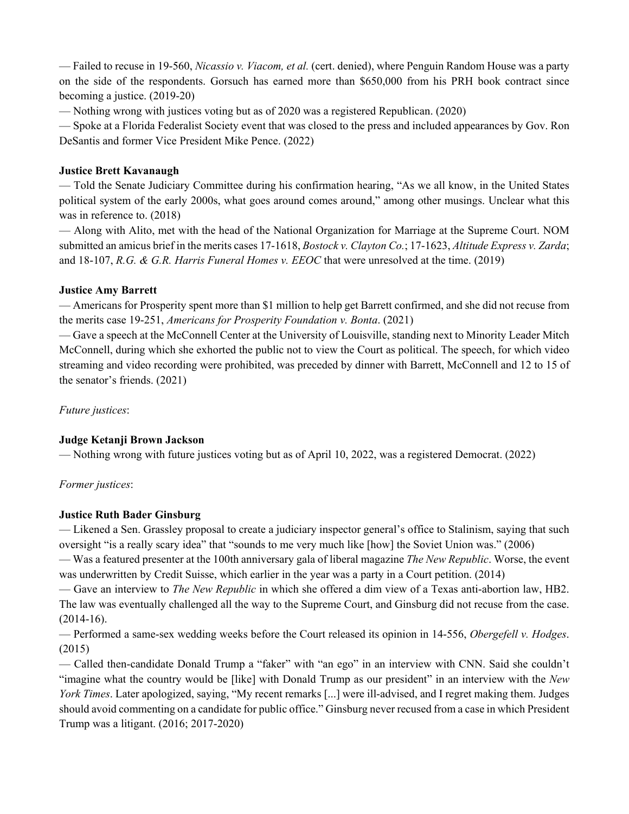— Failed to recuse in 19-560, *Nicassio v. Viacom, et al.* (cert. denied), where Penguin Random House was a party on the side of the respondents. Gorsuch has earned more than \$650,000 from his PRH book contract since becoming a justice. (2019-20)

— Nothing wrong with justices voting but as of 2020 was a registered Republican. (2020)

— Spoke at a Florida Federalist Society event that was closed to the press and included appearances by Gov. Ron DeSantis and former Vice President Mike Pence. (2022)

## **Justice Brett Kavanaugh**

— Told the Senate Judiciary Committee during his confirmation hearing, "As we all know, in the United States political system of the early 2000s, what goes around comes around," among other musings. Unclear what this was in reference to. (2018)

— Along with Alito, met with the head of the National Organization for Marriage at the Supreme Court. NOM submitted an amicus brief in the merits cases 17-1618, *Bostock v. Clayton Co.*; 17-1623, *Altitude Express v. Zarda*; and 18-107, *R.G. & G.R. Harris Funeral Homes v. EEOC* that were unresolved at the time. (2019)

### **Justice Amy Barrett**

— Americans for Prosperity spent more than \$1 million to help get Barrett confirmed, and she did not recuse from the merits case 19-251, *Americans for Prosperity Foundation v. Bonta*. (2021)

— Gave a speech at the McConnell Center at the University of Louisville, standing next to Minority Leader Mitch McConnell, during which she exhorted the public not to view the Court as political. The speech, for which video streaming and video recording were prohibited, was preceded by dinner with Barrett, McConnell and 12 to 15 of the senator's friends. (2021)

*Future justices*:

# **Judge Ketanji Brown Jackson**

— Nothing wrong with future justices voting but as of April 10, 2022, was a registered Democrat. (2022)

### *Former justices*:

# **Justice Ruth Bader Ginsburg**

— Likened a Sen. Grassley proposal to create a judiciary inspector general's office to Stalinism, saying that such oversight "is a really scary idea" that "sounds to me very much like [how] the Soviet Union was." (2006)

— Was a featured presenter at the 100th anniversary gala of liberal magazine *The New Republic*. Worse, the event was underwritten by Credit Suisse, which earlier in the year was a party in a Court petition. (2014)

— Gave an interview to *The New Republic* in which she offered a dim view of a Texas anti-abortion law, HB2. The law was eventually challenged all the way to the Supreme Court, and Ginsburg did not recuse from the case.  $(2014-16).$ 

— Performed a same-sex wedding weeks before the Court released its opinion in 14-556, *Obergefell v. Hodges*. (2015)

— Called then-candidate Donald Trump a "faker" with "an ego" in an interview with CNN. Said she couldn't "imagine what the country would be [like] with Donald Trump as our president" in an interview with the *New York Times*. Later apologized, saying, "My recent remarks [...] were ill-advised, and I regret making them. Judges should avoid commenting on a candidate for public office." Ginsburg never recused from a case in which President Trump was a litigant. (2016; 2017-2020)